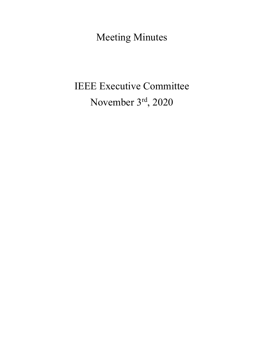Meeting Minutes

# IEEE Executive Committee November 3rd, 2020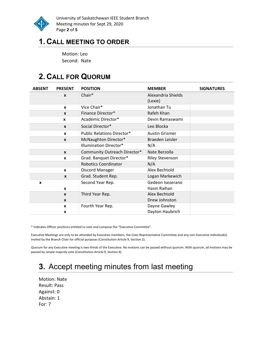

University of Saskatchewan IEEE Student Branch Meeting minutes for Sept 29, 2020 Page 2 of 5

### 1. CALL MEETING TO ORDER

Motion: Leo Second: Nate

# 2. CALL FOR QUORUM

| <b>ABSENT</b> | <b>PRESENT</b>   | <b>POSITION</b>                   | <b>MEMBER</b>          | <b>SIGNATURES</b> |
|---------------|------------------|-----------------------------------|------------------------|-------------------|
|               | $\boldsymbol{x}$ | Chair*                            | Alexandria Shields     |                   |
|               |                  |                                   | (Lexie)                |                   |
|               | $\mathbf{x}$     | Vice Chair*                       | Jonathan Tu            |                   |
|               | $\boldsymbol{x}$ | Finance Director*                 | Rafeh Khan             |                   |
|               | $\mathbf{x}$     | Academic Director*                | Devin Ramaswami        |                   |
|               | $\boldsymbol{x}$ | Social Director*                  | Leo Blocka             |                   |
|               | $\mathbf{x}$     | <b>Public Relations Director*</b> | <b>Austin Grismer</b>  |                   |
|               | $\mathbf{x}$     | McNaughton Director*              | Braeden Leisler        |                   |
|               |                  | <b>Illumination Director*</b>     | N/A                    |                   |
|               | $\mathbf{x}$     | Community Outreach Director*      | Nate Berzolla          |                   |
|               | X                | Grad. Banquet Director*           | <b>Riley Stevenson</b> |                   |
|               |                  | <b>Robotics Coordinator</b>       | N/A                    |                   |
|               | $\mathbf{x}$     | Discord Manager                   | Alex Bechtold          |                   |
|               | X                | Grad. Student Rep.                | Logan Markewich        |                   |
| $\mathbf{x}$  |                  | Second Year Rep.                  | Gedeon Isezerano       |                   |
|               | $\mathbf{x}$     |                                   | Hasin Raihan           |                   |
|               | $\mathbf{x}$     | Third Year Rep.                   | Alex Bechtold          |                   |
|               | $\mathbf{x}$     |                                   | Drew Johnston          |                   |
|               | X                | Fourth Year Rep.                  | Dayne Gawley           |                   |
|               | X                |                                   | Dayton Haubrich        |                   |

\* Indicates Officer positions entitled to vote and compose the "Executive Committee".

Executive Meetings are only to be attended by Executive members, the Class Representative Committee and any non-Executive individual(s) invited by the Branch Chair for official purposes (Constitution Article 9, Section 2).

Quorum for any Executive meeting is two-thirds of the Executive. No motions can be passed without quorum. With quorum, all motions may be passed by simple majority vote (Constitution Article 9, Section 4).

# 3. Accept meeting minutes from last meeting

Motion: Nate Result: Pass Against: 0 Abstain: 1 For: 7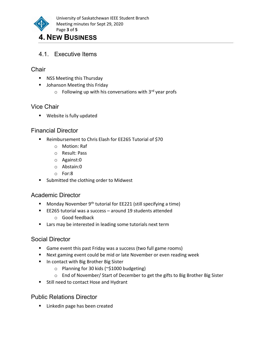

## 4. NEW BUSINESS

4.1. Executive Items

#### **Chair**

- **NET** NSS Meeting this Thursday
- **Johanson Meeting this Friday** 
	- $\circ$  Following up with his conversations with 3<sup>rd</sup> year profs

#### Vice Chair

**Website is fully updated** 

#### Financial Director

- Reimbursement to Chris Elash for EE265 Tutorial of \$70
	- o Motion: Raf
	- o Result: Pass
	- o Against:0
	- o Abstain:0
	- o For:8
- Submitted the clothing order to Midwest

#### Academic Director

- Monday November  $9<sup>th</sup>$  tutorial for EE221 (still specifying a time)
- EE265 tutorial was a success around 19 students attended
	- o Good feedback
- **EXT** Lars may be interested in leading some tutorials next term

#### Social Director

- Game event this past Friday was a success (two full game rooms)
- Next gaming event could be mid or late November or even reading week
- **In contact with Big Brother Big Sister** 
	- o Planning for 30 kids (~\$1000 budgeting)
	- o End of November/ Start of December to get the gifts to Big Brother Big Sister
- **Still need to contact Hose and Hydrant**

Public Relations Director

**EXEC** Linkedin page has been created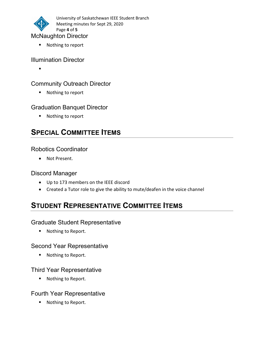

■ Nothing to report

#### Illumination Director

#### Community Outreach Director

■ Nothing to report

#### Graduation Banquet Director

■ Nothing to report

### SPECIAL COMMITTEE ITEMS

#### Robotics Coordinator

Not Present.

#### Discord Manager

- Up to 173 members on the IEEE discord
- Created a Tutor role to give the ability to mute/deafen in the voice channel

### STUDENT REPRESENTATIVE COMMITTEE ITEMS

#### Graduate Student Representative

■ Nothing to Report.

#### Second Year Representative

■ Nothing to Report.

#### Third Year Representative

■ Nothing to Report.

#### Fourth Year Representative

■ Nothing to Report.